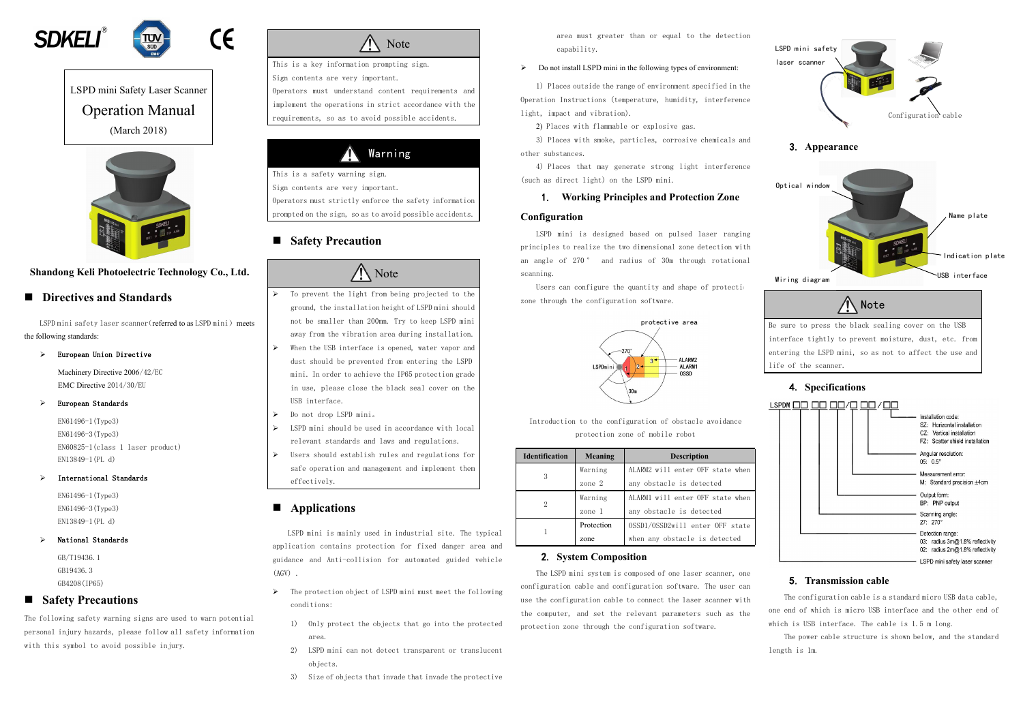



LSPD mini Safety Laser Scanner Operation Manual (March 2018)



## **Shandong Keli Photoelectric Technology Co., Ltd.**

LSPD mini safety laser scanner (referred to as LSPD mini) meets the following standards:

#### European Union Directive

## **Directives and Standards**

Machinery Directive 2006/42/EC EMC Directive 2014/30/EU

#### European Standards

EN61496-1(Type3) EN61496-3(Type3) EN60825-1(class 1 laser product) EN13849-1(PL d)

#### International Standards

EN61496-1(Type3) EN61496-3(Type3) EN13849-1(PL d)

#### National Standards

#### ZN Warning

GB/T19436.1 GB19436.3 GB4208(IP65)

### **Safety Precautions**

The following safety warning signs are used to warn potential personal injury hazards, please follow all safety information with this symbol to avoid possible injury.

Note

This is a key information prompting sign. Sign contents are very important. Operators must understand content requirements and

- $\triangleright$  To prevent the light from being projected to the ground, the installation height of LSPD mini should not be smaller than 200mm. Try to keep LSPD mini away from the vibration area during installation.
- $\triangleright$  When the USB interface is opened, water vapor and dust should be prevented from entering the LSPD mini. In order to achieve the IP65 protection grade in use, please close the black seal cover on the USB interface.
- Do not drop LSPD mini。
- $\triangleright$  LSPD mini should be used in accordance with local relevant standards and laws and regulations.
- Users should establish rules and regulations for safe operation and management and implement them effectively.

LSPD mini is mainly used in industrial site. The typical application contains protection for fixed danger area and guidance and Anti-collision for automated guided vehicle  $(AGV)$ .

implement the operations in strict accordance with the requirements, so as to avoid possible accidents.

This is a safety warning sign.

Sign contents are very important.

Operators must strictly enforce the safety information

- $\triangleright$  The protection object of LSPD mini must meet the following conditions:
	- 1) Only protect the objects that go into the protected area.
	- 2) LSPD mini can not detect transparent or translucent objects.
	- 3) Size of objects that invade that invade the protective

prompted on the sign, so as to avoid possible accidents.

# **Safety Precaution**

# **Note**

Users can configure the quantity and shape of protection zone through the configuration software.



## **Applications**



# $05: 0.5^{\circ}$

Measurement error: M: Standard precision +4cm

Output form: BP: PNP output Scanning angle:

27: 270°

Detection range: 03: radius 3m@1.8% reflectivity 02: radius 2m@1.8% reflectivity

LSPD mini safety laser scanner

The configuration cable is a standard micro USB data cable, one end of which is micro USB interface and the other end of which is USB interface. The cable is 1.5 m long.

area must greater than or equal to the detection capability.

#### $\triangleright$  Do not install LSPD mini in the following types of environment:

1) Places outside the range of environment specified in the Operation Instructions (temperature, humidity, interference light, impact and vibration).

2) Places with flammable or explosive gas.

3) Places with smoke, particles, corrosive chemicals and other substances.

4) Places that may generate strong light interference (such as direct light) on the LSPD mini.

#### 1. **Working Principles and Protection Zone**

#### **Configuration**

LSPD mini is designed based on pulsed laser ranging principles to realize the two dimensional zone detection with an angle of 270 ° and radius of 30m through rotational scanning.

Introduction to the configuration of obstacle avoidance protection zone of mobile robot

| <b>Identification</b> | Meaning    | <b>Description</b>               |
|-----------------------|------------|----------------------------------|
|                       | Warning    | ALARM2 will enter OFF state when |
|                       | zone 2     | any obstacle is detected         |
| 2                     | Warning    | ALARM1 will enter OFF state when |
|                       | zone 1     | any obstacle is detected         |
|                       | Protection | 0SSD1/0SSD2will enter OFF state  |
|                       | zone       | when any obstacle is detected    |

### 2. **System Composition**

The LSPD mini system is composed of one laser scanner, one configuration cable and configuration software. The user can use the configuration cable to connect the laser scanner with the computer, and set the relevant parameters such as the protection zone through the configuration software.

### 5. **Transmission cable**

The power cable structure is shown below, and the standard length is 1m.